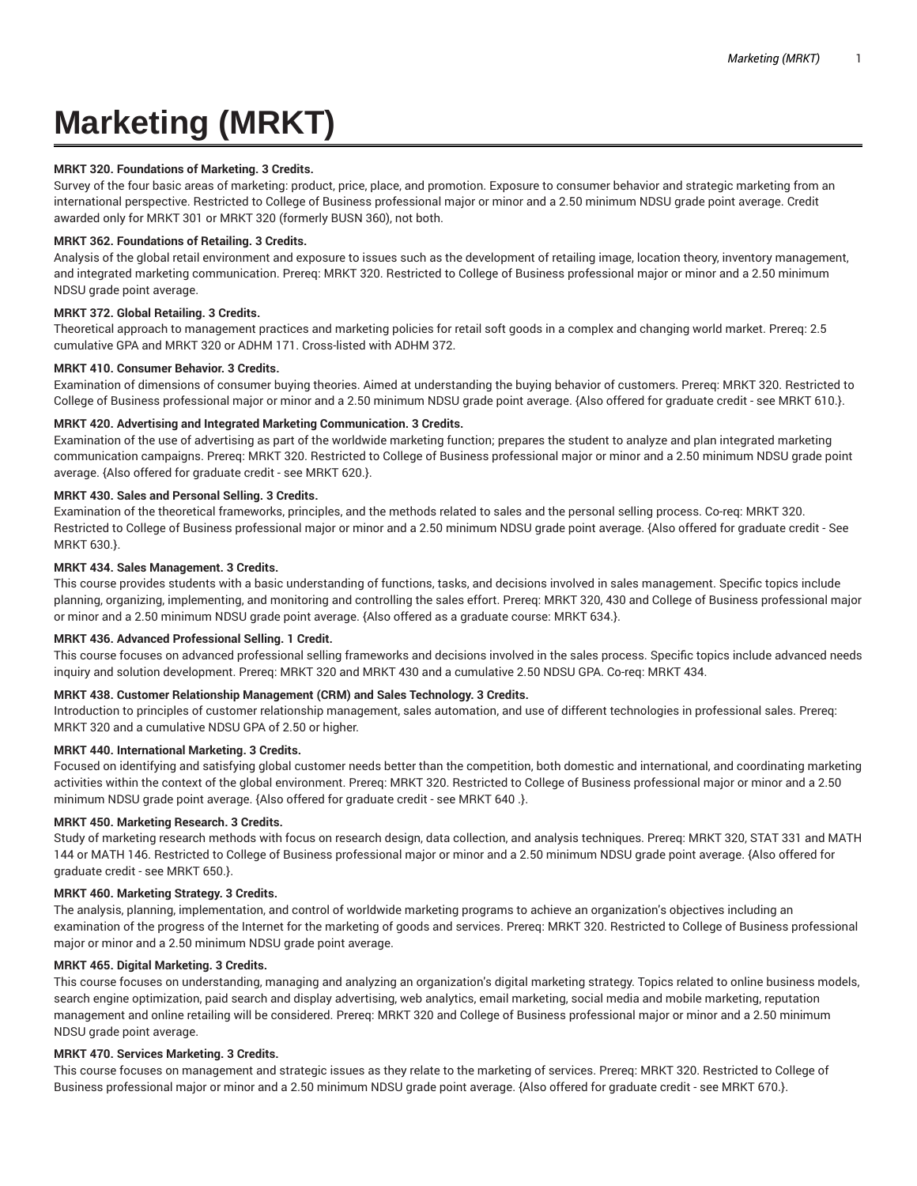# **Marketing (MRKT)**

## **MRKT 320. Foundations of Marketing. 3 Credits.**

Survey of the four basic areas of marketing: product, price, place, and promotion. Exposure to consumer behavior and strategic marketing from an international perspective. Restricted to College of Business professional major or minor and a 2.50 minimum NDSU grade point average. Credit awarded only for MRKT 301 or MRKT 320 (formerly BUSN 360), not both.

#### **MRKT 362. Foundations of Retailing. 3 Credits.**

Analysis of the global retail environment and exposure to issues such as the development of retailing image, location theory, inventory management, and integrated marketing communication. Prereq: MRKT 320. Restricted to College of Business professional major or minor and a 2.50 minimum NDSU grade point average.

## **MRKT 372. Global Retailing. 3 Credits.**

Theoretical approach to management practices and marketing policies for retail soft goods in a complex and changing world market. Prereq: 2.5 cumulative GPA and MRKT 320 or ADHM 171. Cross-listed with ADHM 372.

# **MRKT 410. Consumer Behavior. 3 Credits.**

Examination of dimensions of consumer buying theories. Aimed at understanding the buying behavior of customers. Prereq: MRKT 320. Restricted to College of Business professional major or minor and a 2.50 minimum NDSU grade point average. {Also offered for graduate credit - see MRKT 610.}.

#### **MRKT 420. Advertising and Integrated Marketing Communication. 3 Credits.**

Examination of the use of advertising as part of the worldwide marketing function; prepares the student to analyze and plan integrated marketing communication campaigns. Prereq: MRKT 320. Restricted to College of Business professional major or minor and a 2.50 minimum NDSU grade point average. {Also offered for graduate credit - see MRKT 620.}.

# **MRKT 430. Sales and Personal Selling. 3 Credits.**

Examination of the theoretical frameworks, principles, and the methods related to sales and the personal selling process. Co-req: MRKT 320. Restricted to College of Business professional major or minor and a 2.50 minimum NDSU grade point average. {Also offered for graduate credit - See MRKT 630.}.

#### **MRKT 434. Sales Management. 3 Credits.**

This course provides students with a basic understanding of functions, tasks, and decisions involved in sales management. Specific topics include planning, organizing, implementing, and monitoring and controlling the sales effort. Prereq: MRKT 320, 430 and College of Business professional major or minor and a 2.50 minimum NDSU grade point average. {Also offered as a graduate course: MRKT 634.}.

## **MRKT 436. Advanced Professional Selling. 1 Credit.**

This course focuses on advanced professional selling frameworks and decisions involved in the sales process. Specific topics include advanced needs inquiry and solution development. Prereq: MRKT 320 and MRKT 430 and a cumulative 2.50 NDSU GPA. Co-req: MRKT 434.

## **MRKT 438. Customer Relationship Management (CRM) and Sales Technology. 3 Credits.**

Introduction to principles of customer relationship management, sales automation, and use of different technologies in professional sales. Prereq: MRKT 320 and a cumulative NDSU GPA of 2.50 or higher.

## **MRKT 440. International Marketing. 3 Credits.**

Focused on identifying and satisfying global customer needs better than the competition, both domestic and international, and coordinating marketing activities within the context of the global environment. Prereq: MRKT 320. Restricted to College of Business professional major or minor and a 2.50 minimum NDSU grade point average. {Also offered for graduate credit - see MRKT 640 .}.

## **MRKT 450. Marketing Research. 3 Credits.**

Study of marketing research methods with focus on research design, data collection, and analysis techniques. Prereq: MRKT 320, STAT 331 and MATH 144 or MATH 146. Restricted to College of Business professional major or minor and a 2.50 minimum NDSU grade point average. {Also offered for graduate credit - see MRKT 650.}.

## **MRKT 460. Marketing Strategy. 3 Credits.**

The analysis, planning, implementation, and control of worldwide marketing programs to achieve an organization's objectives including an examination of the progress of the Internet for the marketing of goods and services. Prereq: MRKT 320. Restricted to College of Business professional major or minor and a 2.50 minimum NDSU grade point average.

## **MRKT 465. Digital Marketing. 3 Credits.**

This course focuses on understanding, managing and analyzing an organization's digital marketing strategy. Topics related to online business models, search engine optimization, paid search and display advertising, web analytics, email marketing, social media and mobile marketing, reputation management and online retailing will be considered. Prereq: MRKT 320 and College of Business professional major or minor and a 2.50 minimum NDSU grade point average.

## **MRKT 470. Services Marketing. 3 Credits.**

This course focuses on management and strategic issues as they relate to the marketing of services. Prereq: MRKT 320. Restricted to College of Business professional major or minor and a 2.50 minimum NDSU grade point average. {Also offered for graduate credit - see MRKT 670.}.